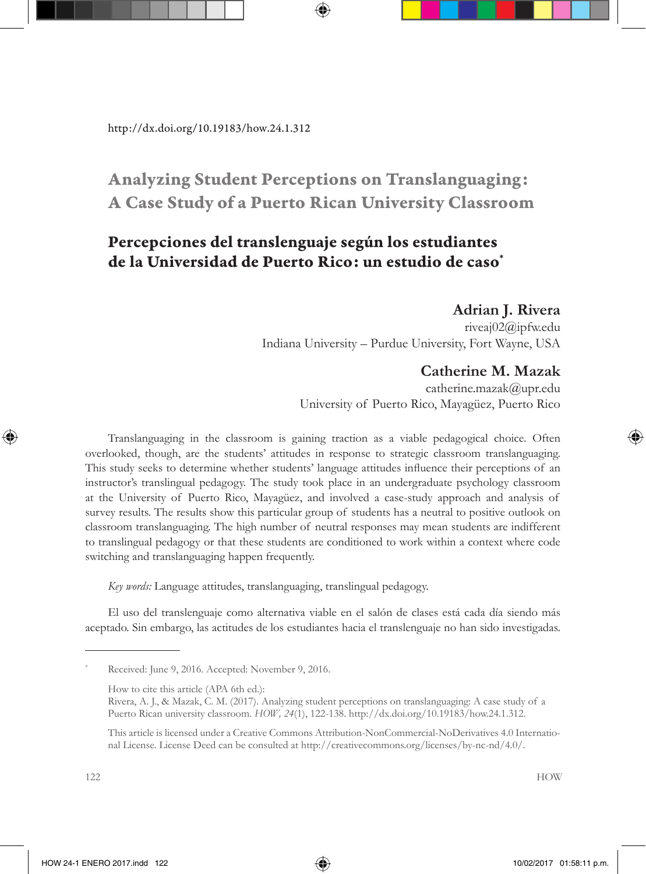# Analyzing Student Perceptions on Translanguaging: A Case Study of a Puerto Rican University Classroom

## Percepciones del translenguaje según los estudiantes de la Universidad de Puerto Rico: un estudio de caso\*

#### **Adrian J. Rivera**

riveaj02@ipfw.edu Indiana University – Purdue University, Fort Wayne, USA

## **Catherine M. Mazak**

catherine.mazak@upr.edu University of Puerto Rico, Mayagüez, Puerto Rico

Translanguaging in the classroom is gaining traction as a viable pedagogical choice. Often overlooked, though, are the students' attitudes in response to strategic classroom translanguaging. This study seeks to determine whether students' language attitudes influence their perceptions of an instructor's translingual pedagogy. The study took place in an undergraduate psychology classroom at the University of Puerto Rico, Mayagüez, and involved a case-study approach and analysis of survey results. The results show this particular group of students has a neutral to positive outlook on classroom translanguaging. The high number of neutral responses may mean students are indifferent to translingual pedagogy or that these students are conditioned to work within a context where code switching and translanguaging happen frequently.

*Key words:* Language attitudes, translanguaging, translingual pedagogy.

El uso del translenguaje como alternativa viable en el salón de clases está cada día siendo más aceptado. Sin embargo, las actitudes de los estudiantes hacia el translenguaje no han sido investigadas.

Received: June 9, 2016. Accepted: November 9, 2016.

How to cite this article (APA 6th ed.):

Rivera, A. J., & Mazak, C. M. (2017). Analyzing student perceptions on translanguaging: A case study of a Puerto Rican university classroom. *HOW, 24*(1), 122-138. http://dx.doi.org/10.19183/how.24.1.312.

This article is licensed under a Creative Commons Attribution-NonCommercial-NoDerivatives 4.0 International License. License Deed can be consulted at http://creativecommons.org/licenses/by-nc-nd/4.0/.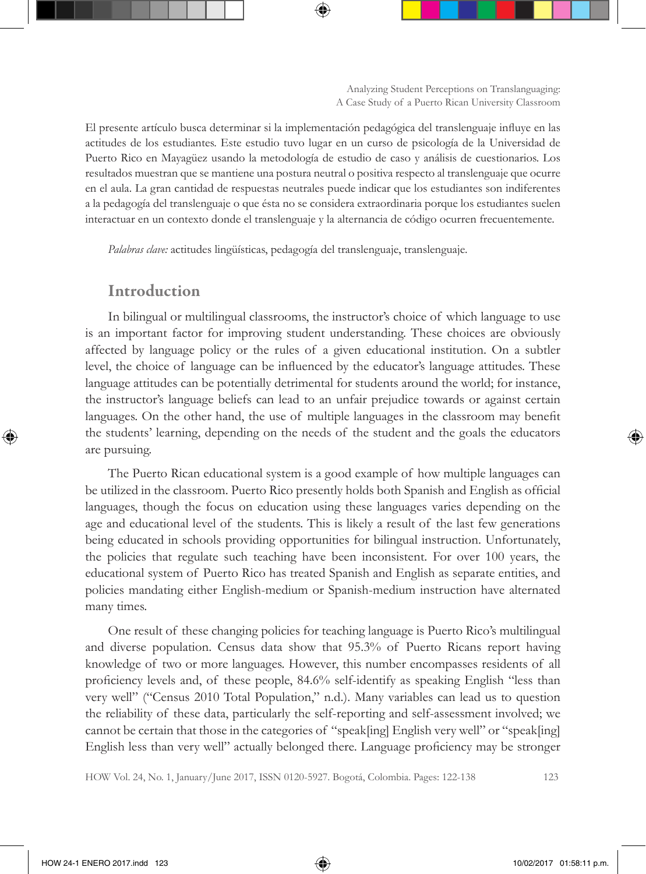El presente artículo busca determinar si la implementación pedagógica del translenguaje influye en las actitudes de los estudiantes. Este estudio tuvo lugar en un curso de psicología de la Universidad de Puerto Rico en Mayagüez usando la metodología de estudio de caso y análisis de cuestionarios. Los resultados muestran que se mantiene una postura neutral o positiva respecto al translenguaje que ocurre en el aula. La gran cantidad de respuestas neutrales puede indicar que los estudiantes son indiferentes a la pedagogía del translenguaje o que ésta no se considera extraordinaria porque los estudiantes suelen interactuar en un contexto donde el translenguaje y la alternancia de código ocurren frecuentemente.

*Palabras clave:* actitudes lingüísticas, pedagogía del translenguaje, translenguaje.

#### Introduction

In bilingual or multilingual classrooms, the instructor's choice of which language to use is an important factor for improving student understanding. These choices are obviously affected by language policy or the rules of a given educational institution. On a subtler level, the choice of language can be influenced by the educator's language attitudes. These language attitudes can be potentially detrimental for students around the world; for instance, the instructor's language beliefs can lead to an unfair prejudice towards or against certain languages. On the other hand, the use of multiple languages in the classroom may benefit the students' learning, depending on the needs of the student and the goals the educators are pursuing.

The Puerto Rican educational system is a good example of how multiple languages can be utilized in the classroom. Puerto Rico presently holds both Spanish and English as official languages, though the focus on education using these languages varies depending on the age and educational level of the students. This is likely a result of the last few generations being educated in schools providing opportunities for bilingual instruction. Unfortunately, the policies that regulate such teaching have been inconsistent. For over 100 years, the educational system of Puerto Rico has treated Spanish and English as separate entities, and policies mandating either English-medium or Spanish-medium instruction have alternated many times.

One result of these changing policies for teaching language is Puerto Rico's multilingual and diverse population. Census data show that 95.3% of Puerto Ricans report having knowledge of two or more languages. However, this number encompasses residents of all proficiency levels and, of these people, 84.6% self-identify as speaking English "less than very well" ("Census 2010 Total Population," n.d.). Many variables can lead us to question the reliability of these data, particularly the self-reporting and self-assessment involved; we cannot be certain that those in the categories of "speak[ing] English very well" or "speak[ing] English less than very well" actually belonged there. Language proficiency may be stronger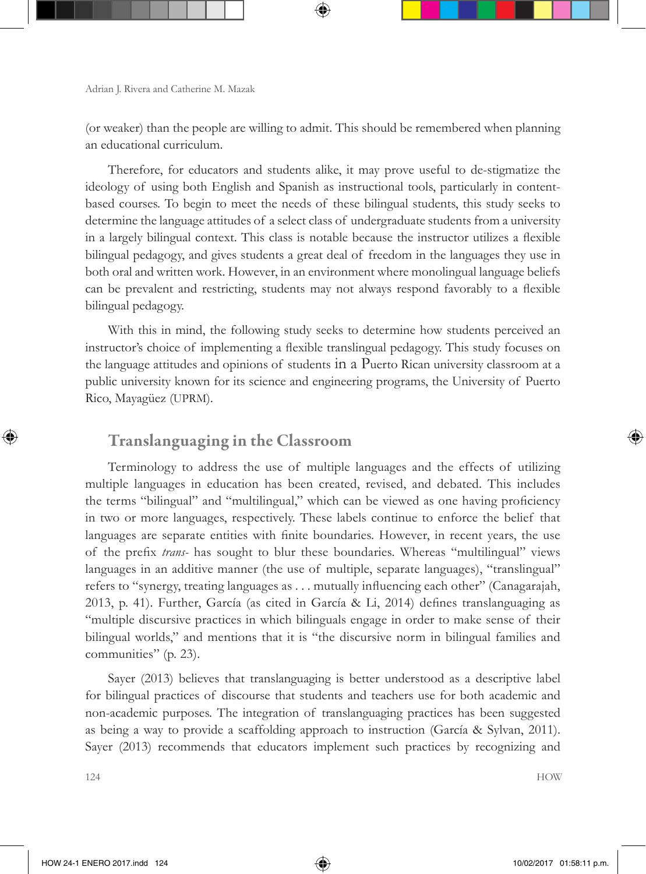(or weaker) than the people are willing to admit. This should be remembered when planning an educational curriculum.

Therefore, for educators and students alike, it may prove useful to de-stigmatize the ideology of using both English and Spanish as instructional tools, particularly in contentbased courses. To begin to meet the needs of these bilingual students, this study seeks to determine the language attitudes of a select class of undergraduate students from a university in a largely bilingual context. This class is notable because the instructor utilizes a flexible bilingual pedagogy, and gives students a great deal of freedom in the languages they use in both oral and written work. However, in an environment where monolingual language beliefs can be prevalent and restricting, students may not always respond favorably to a flexible bilingual pedagogy.

With this in mind, the following study seeks to determine how students perceived an instructor's choice of implementing a flexible translingual pedagogy. This study focuses on the language attitudes and opinions of students in a Puerto Rican university classroom at a public university known for its science and engineering programs, the University of Puerto Rico, Mayagüez (UPRM).

## Translanguaging in the Classroom

Terminology to address the use of multiple languages and the effects of utilizing multiple languages in education has been created, revised, and debated. This includes the terms "bilingual" and "multilingual," which can be viewed as one having proficiency in two or more languages, respectively. These labels continue to enforce the belief that languages are separate entities with finite boundaries. However, in recent years, the use of the prefix *trans-* has sought to blur these boundaries. Whereas "multilingual" views languages in an additive manner (the use of multiple, separate languages), "translingual" refers to "synergy, treating languages as . . . mutually influencing each other" (Canagarajah, 2013, p. 41). Further, García (as cited in García & Li, 2014) defines translanguaging as "multiple discursive practices in which bilinguals engage in order to make sense of their bilingual worlds," and mentions that it is "the discursive norm in bilingual families and communities" (p. 23).

Sayer (2013) believes that translanguaging is better understood as a descriptive label for bilingual practices of discourse that students and teachers use for both academic and non-academic purposes. The integration of translanguaging practices has been suggested as being a way to provide a scaffolding approach to instruction (García & Sylvan, 2011). Sayer (2013) recommends that educators implement such practices by recognizing and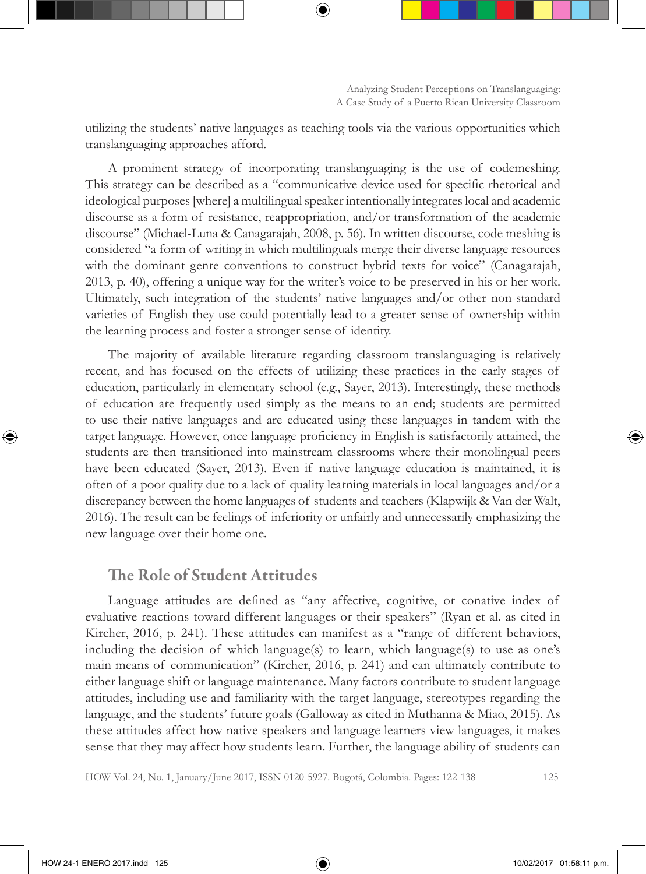utilizing the students' native languages as teaching tools via the various opportunities which translanguaging approaches afford.

A prominent strategy of incorporating translanguaging is the use of codemeshing. This strategy can be described as a "communicative device used for specific rhetorical and ideological purposes [where] a multilingual speaker intentionally integrates local and academic discourse as a form of resistance, reappropriation, and/or transformation of the academic discourse" (Michael-Luna & Canagarajah, 2008, p. 56). In written discourse, code meshing is considered "a form of writing in which multilinguals merge their diverse language resources with the dominant genre conventions to construct hybrid texts for voice" (Canagarajah, 2013, p. 40), offering a unique way for the writer's voice to be preserved in his or her work. Ultimately, such integration of the students' native languages and/or other non-standard varieties of English they use could potentially lead to a greater sense of ownership within the learning process and foster a stronger sense of identity.

The majority of available literature regarding classroom translanguaging is relatively recent, and has focused on the effects of utilizing these practices in the early stages of education, particularly in elementary school (e.g., Sayer, 2013). Interestingly, these methods of education are frequently used simply as the means to an end; students are permitted to use their native languages and are educated using these languages in tandem with the target language. However, once language proficiency in English is satisfactorily attained, the students are then transitioned into mainstream classrooms where their monolingual peers have been educated (Sayer, 2013). Even if native language education is maintained, it is often of a poor quality due to a lack of quality learning materials in local languages and/or a discrepancy between the home languages of students and teachers (Klapwijk & Van der Walt, 2016). The result can be feelings of inferiority or unfairly and unnecessarily emphasizing the new language over their home one.

#### The Role of Student Attitudes

Language attitudes are defined as "any affective, cognitive, or conative index of evaluative reactions toward different languages or their speakers" (Ryan et al. as cited in Kircher, 2016, p. 241). These attitudes can manifest as a "range of different behaviors, including the decision of which language(s) to learn, which language(s) to use as one's main means of communication" (Kircher, 2016, p. 241) and can ultimately contribute to either language shift or language maintenance. Many factors contribute to student language attitudes, including use and familiarity with the target language, stereotypes regarding the language, and the students' future goals (Galloway as cited in Muthanna & Miao, 2015). As these attitudes affect how native speakers and language learners view languages, it makes sense that they may affect how students learn. Further, the language ability of students can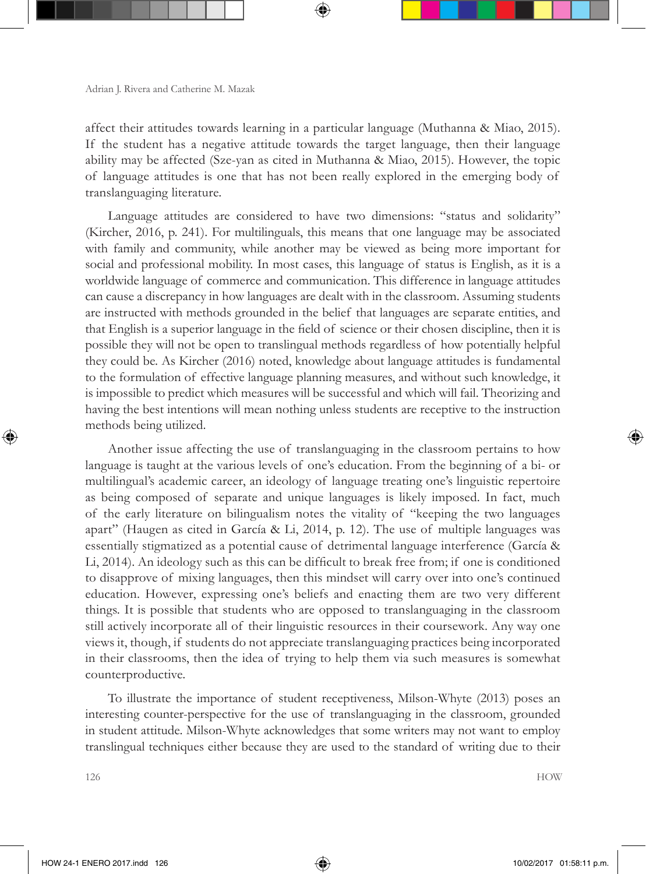affect their attitudes towards learning in a particular language (Muthanna & Miao, 2015). If the student has a negative attitude towards the target language, then their language ability may be affected (Sze-yan as cited in Muthanna & Miao, 2015). However, the topic of language attitudes is one that has not been really explored in the emerging body of translanguaging literature.

Language attitudes are considered to have two dimensions: "status and solidarity" (Kircher, 2016, p. 241). For multilinguals, this means that one language may be associated with family and community, while another may be viewed as being more important for social and professional mobility. In most cases, this language of status is English, as it is a worldwide language of commerce and communication. This difference in language attitudes can cause a discrepancy in how languages are dealt with in the classroom. Assuming students are instructed with methods grounded in the belief that languages are separate entities, and that English is a superior language in the field of science or their chosen discipline, then it is possible they will not be open to translingual methods regardless of how potentially helpful they could be. As Kircher (2016) noted, knowledge about language attitudes is fundamental to the formulation of effective language planning measures, and without such knowledge, it is impossible to predict which measures will be successful and which will fail. Theorizing and having the best intentions will mean nothing unless students are receptive to the instruction methods being utilized.

Another issue affecting the use of translanguaging in the classroom pertains to how language is taught at the various levels of one's education. From the beginning of a bi- or multilingual's academic career, an ideology of language treating one's linguistic repertoire as being composed of separate and unique languages is likely imposed. In fact, much of the early literature on bilingualism notes the vitality of "keeping the two languages apart" (Haugen as cited in García & Li, 2014, p. 12). The use of multiple languages was essentially stigmatized as a potential cause of detrimental language interference (García & Li, 2014). An ideology such as this can be difficult to break free from; if one is conditioned to disapprove of mixing languages, then this mindset will carry over into one's continued education. However, expressing one's beliefs and enacting them are two very different things. It is possible that students who are opposed to translanguaging in the classroom still actively incorporate all of their linguistic resources in their coursework. Any way one views it, though, if students do not appreciate translanguaging practices being incorporated in their classrooms, then the idea of trying to help them via such measures is somewhat counterproductive.

To illustrate the importance of student receptiveness, Milson-Whyte (2013) poses an interesting counter-perspective for the use of translanguaging in the classroom, grounded in student attitude. Milson-Whyte acknowledges that some writers may not want to employ translingual techniques either because they are used to the standard of writing due to their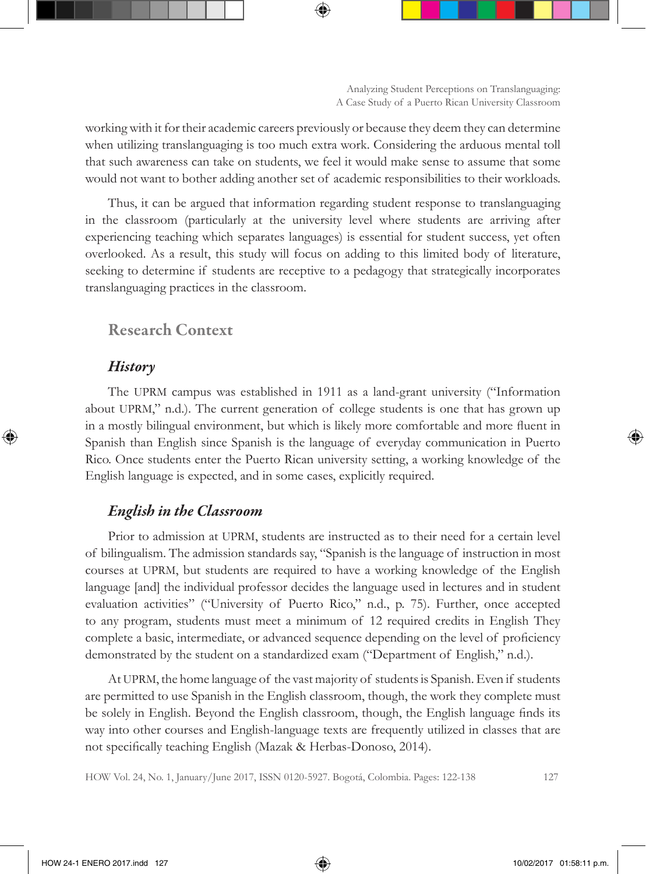working with it for their academic careers previously or because they deem they can determine when utilizing translanguaging is too much extra work. Considering the arduous mental toll that such awareness can take on students, we feel it would make sense to assume that some would not want to bother adding another set of academic responsibilities to their workloads.

Thus, it can be argued that information regarding student response to translanguaging in the classroom (particularly at the university level where students are arriving after experiencing teaching which separates languages) is essential for student success, yet often overlooked. As a result, this study will focus on adding to this limited body of literature, seeking to determine if students are receptive to a pedagogy that strategically incorporates translanguaging practices in the classroom.

## Research Context

#### *History*

The UPRM campus was established in 1911 as a land-grant university ("Information about UPRM," n.d.). The current generation of college students is one that has grown up in a mostly bilingual environment, but which is likely more comfortable and more fluent in Spanish than English since Spanish is the language of everyday communication in Puerto Rico. Once students enter the Puerto Rican university setting, a working knowledge of the English language is expected, and in some cases, explicitly required.

## *English in the Classroom*

Prior to admission at UPRM, students are instructed as to their need for a certain level of bilingualism. The admission standards say, "Spanish is the language of instruction in most courses at UPRM, but students are required to have a working knowledge of the English language [and] the individual professor decides the language used in lectures and in student evaluation activities" ("University of Puerto Rico," n.d., p. 75). Further, once accepted to any program, students must meet a minimum of 12 required credits in English They complete a basic, intermediate, or advanced sequence depending on the level of proficiency demonstrated by the student on a standardized exam ("Department of English," n.d.).

At UPRM, the home language of the vast majority of students is Spanish. Even if students are permitted to use Spanish in the English classroom, though, the work they complete must be solely in English. Beyond the English classroom, though, the English language finds its way into other courses and English-language texts are frequently utilized in classes that are not specifically teaching English (Mazak & Herbas-Donoso, 2014).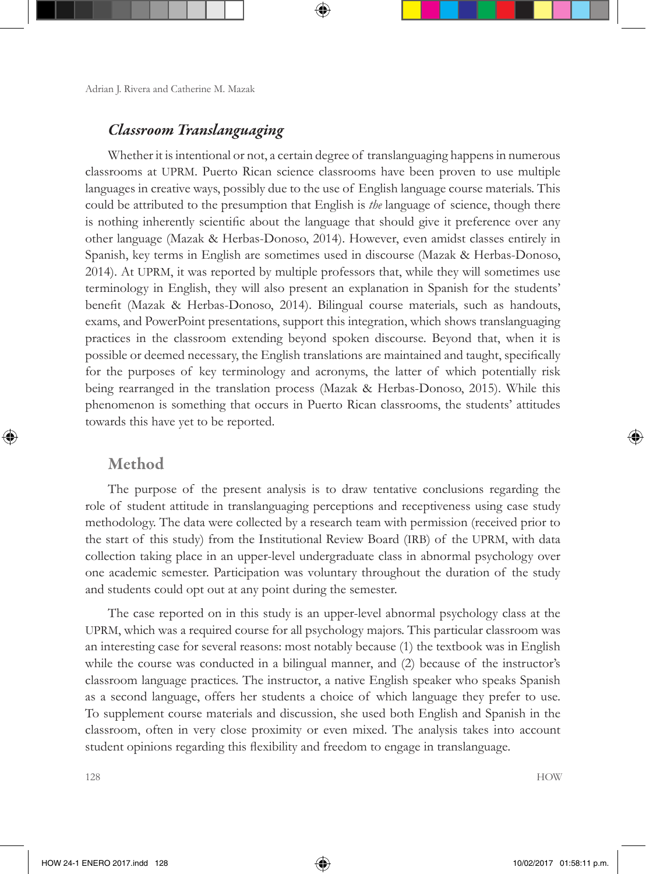## *Classroom Translanguaging*

Whether it is intentional or not, a certain degree of translanguaging happens in numerous classrooms at UPRM. Puerto Rican science classrooms have been proven to use multiple languages in creative ways, possibly due to the use of English language course materials. This could be attributed to the presumption that English is *the* language of science, though there is nothing inherently scientific about the language that should give it preference over any other language (Mazak & Herbas-Donoso, 2014). However, even amidst classes entirely in Spanish, key terms in English are sometimes used in discourse (Mazak & Herbas-Donoso, 2014). At UPRM, it was reported by multiple professors that, while they will sometimes use terminology in English, they will also present an explanation in Spanish for the students' benefit (Mazak & Herbas-Donoso, 2014). Bilingual course materials, such as handouts, exams, and PowerPoint presentations, support this integration, which shows translanguaging practices in the classroom extending beyond spoken discourse. Beyond that, when it is possible or deemed necessary, the English translations are maintained and taught, specifically for the purposes of key terminology and acronyms, the latter of which potentially risk being rearranged in the translation process (Mazak & Herbas-Donoso, 2015). While this phenomenon is something that occurs in Puerto Rican classrooms, the students' attitudes towards this have yet to be reported.

#### Method

The purpose of the present analysis is to draw tentative conclusions regarding the role of student attitude in translanguaging perceptions and receptiveness using case study methodology. The data were collected by a research team with permission (received prior to the start of this study) from the Institutional Review Board (IRB) of the UPRM, with data collection taking place in an upper-level undergraduate class in abnormal psychology over one academic semester. Participation was voluntary throughout the duration of the study and students could opt out at any point during the semester.

The case reported on in this study is an upper-level abnormal psychology class at the UPRM, which was a required course for all psychology majors. This particular classroom was an interesting case for several reasons: most notably because (1) the textbook was in English while the course was conducted in a bilingual manner, and (2) because of the instructor's classroom language practices. The instructor, a native English speaker who speaks Spanish as a second language, offers her students a choice of which language they prefer to use. To supplement course materials and discussion, she used both English and Spanish in the classroom, often in very close proximity or even mixed. The analysis takes into account student opinions regarding this flexibility and freedom to engage in translanguage.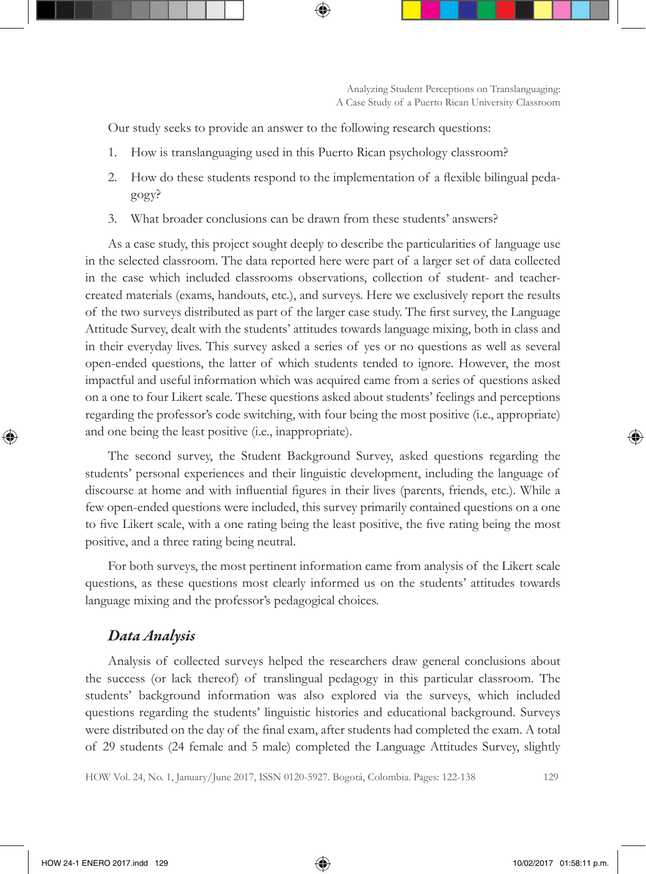Our study seeks to provide an answer to the following research questions:

- 1. How is translanguaging used in this Puerto Rican psychology classroom?
- 2. How do these students respond to the implementation of a flexible bilingual pedagogy?
- 3. What broader conclusions can be drawn from these students' answers?

As a case study, this project sought deeply to describe the particularities of language use in the selected classroom. The data reported here were part of a larger set of data collected in the case which included classrooms observations, collection of student- and teachercreated materials (exams, handouts, etc.), and surveys. Here we exclusively report the results of the two surveys distributed as part of the larger case study. The first survey, the Language Attitude Survey, dealt with the students' attitudes towards language mixing, both in class and in their everyday lives. This survey asked a series of yes or no questions as well as several open-ended questions, the latter of which students tended to ignore. However, the most impactful and useful information which was acquired came from a series of questions asked on a one to four Likert scale. These questions asked about students' feelings and perceptions regarding the professor's code switching, with four being the most positive (i.e., appropriate) and one being the least positive (i.e., inappropriate).

The second survey, the Student Background Survey, asked questions regarding the students' personal experiences and their linguistic development, including the language of discourse at home and with influential figures in their lives (parents, friends, etc.). While a few open-ended questions were included, this survey primarily contained questions on a one to five Likert scale, with a one rating being the least positive, the five rating being the most positive, and a three rating being neutral.

For both surveys, the most pertinent information came from analysis of the Likert scale questions, as these questions most clearly informed us on the students' attitudes towards language mixing and the professor's pedagogical choices.

#### *Data Analysis*

Analysis of collected surveys helped the researchers draw general conclusions about the success (or lack thereof) of translingual pedagogy in this particular classroom. The students' background information was also explored via the surveys, which included questions regarding the students' linguistic histories and educational background. Surveys were distributed on the day of the final exam, after students had completed the exam. A total of 29 students (24 female and 5 male) completed the Language Attitudes Survey, slightly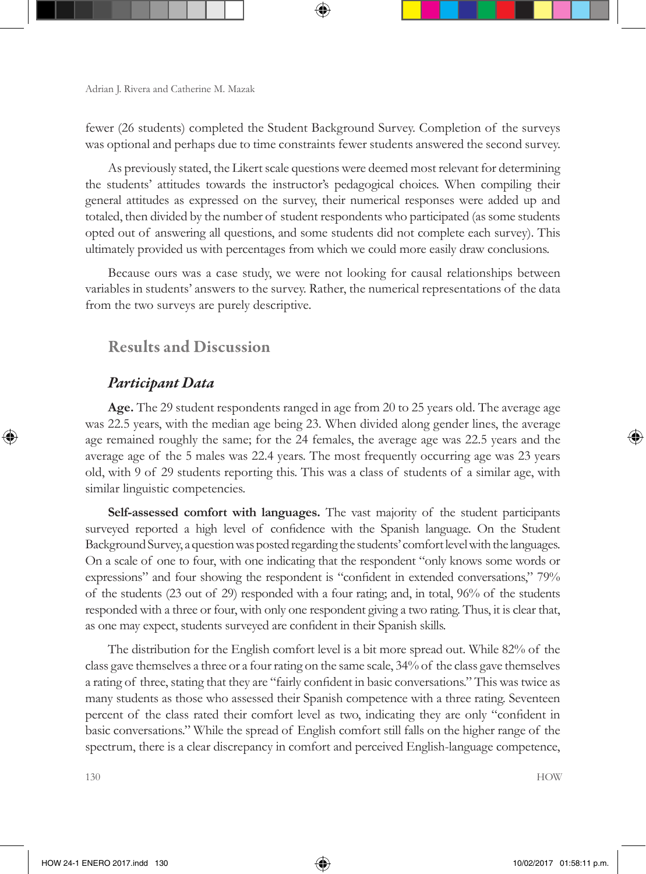fewer (26 students) completed the Student Background Survey. Completion of the surveys was optional and perhaps due to time constraints fewer students answered the second survey.

As previously stated, the Likert scale questions were deemed most relevant for determining the students' attitudes towards the instructor's pedagogical choices. When compiling their general attitudes as expressed on the survey, their numerical responses were added up and totaled, then divided by the number of student respondents who participated (as some students opted out of answering all questions, and some students did not complete each survey). This ultimately provided us with percentages from which we could more easily draw conclusions.

Because ours was a case study, we were not looking for causal relationships between variables in students' answers to the survey. Rather, the numerical representations of the data from the two surveys are purely descriptive.

## Results and Discussion

## *Participant Data*

**Age.** The 29 student respondents ranged in age from 20 to 25 years old. The average age was 22.5 years, with the median age being 23. When divided along gender lines, the average age remained roughly the same; for the 24 females, the average age was 22.5 years and the average age of the 5 males was 22.4 years. The most frequently occurring age was 23 years old, with 9 of 29 students reporting this. This was a class of students of a similar age, with similar linguistic competencies.

**Self-assessed comfort with languages.** The vast majority of the student participants surveyed reported a high level of confidence with the Spanish language. On the Student Background Survey, a question was posted regarding the students' comfort level with the languages. On a scale of one to four, with one indicating that the respondent "only knows some words or expressions" and four showing the respondent is "confident in extended conversations," 79% of the students (23 out of 29) responded with a four rating; and, in total, 96% of the students responded with a three or four, with only one respondent giving a two rating. Thus, it is clear that, as one may expect, students surveyed are confident in their Spanish skills.

The distribution for the English comfort level is a bit more spread out. While 82% of the class gave themselves a three or a four rating on the same scale, 34% of the class gave themselves a rating of three, stating that they are "fairly confident in basic conversations." This was twice as many students as those who assessed their Spanish competence with a three rating. Seventeen percent of the class rated their comfort level as two, indicating they are only "confident in basic conversations." While the spread of English comfort still falls on the higher range of the spectrum, there is a clear discrepancy in comfort and perceived English-language competence,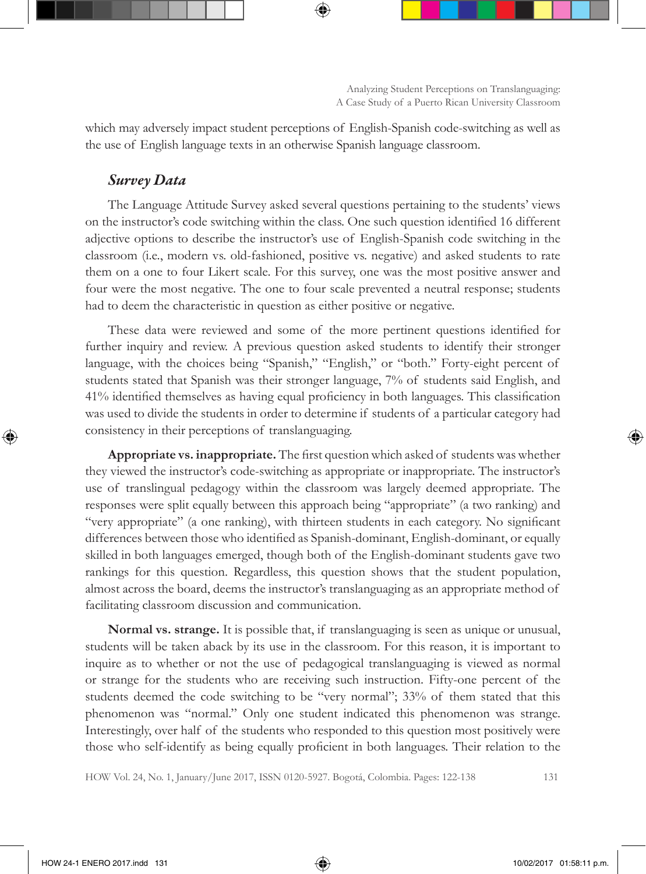which may adversely impact student perceptions of English-Spanish code-switching as well as the use of English language texts in an otherwise Spanish language classroom.

### *Survey Data*

The Language Attitude Survey asked several questions pertaining to the students' views on the instructor's code switching within the class. One such question identified 16 different adjective options to describe the instructor's use of English-Spanish code switching in the classroom (i.e., modern vs. old-fashioned, positive vs. negative) and asked students to rate them on a one to four Likert scale. For this survey, one was the most positive answer and four were the most negative. The one to four scale prevented a neutral response; students had to deem the characteristic in question as either positive or negative.

These data were reviewed and some of the more pertinent questions identified for further inquiry and review. A previous question asked students to identify their stronger language, with the choices being "Spanish," "English," or "both." Forty-eight percent of students stated that Spanish was their stronger language, 7% of students said English, and 41% identified themselves as having equal proficiency in both languages. This classification was used to divide the students in order to determine if students of a particular category had consistency in their perceptions of translanguaging.

**Appropriate vs. inappropriate.** The first question which asked of students was whether they viewed the instructor's code-switching as appropriate or inappropriate. The instructor's use of translingual pedagogy within the classroom was largely deemed appropriate. The responses were split equally between this approach being "appropriate" (a two ranking) and "very appropriate" (a one ranking), with thirteen students in each category. No significant differences between those who identified as Spanish-dominant, English-dominant, or equally skilled in both languages emerged, though both of the English-dominant students gave two rankings for this question. Regardless, this question shows that the student population, almost across the board, deems the instructor's translanguaging as an appropriate method of facilitating classroom discussion and communication.

**Normal vs. strange.** It is possible that, if translanguaging is seen as unique or unusual, students will be taken aback by its use in the classroom. For this reason, it is important to inquire as to whether or not the use of pedagogical translanguaging is viewed as normal or strange for the students who are receiving such instruction. Fifty-one percent of the students deemed the code switching to be "very normal"; 33% of them stated that this phenomenon was "normal." Only one student indicated this phenomenon was strange. Interestingly, over half of the students who responded to this question most positively were those who self-identify as being equally proficient in both languages. Their relation to the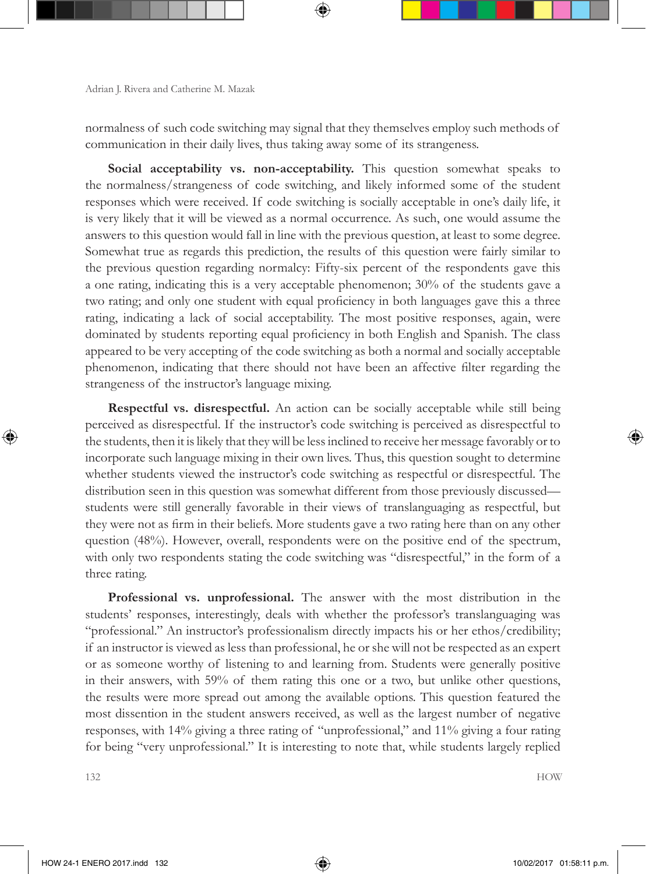normalness of such code switching may signal that they themselves employ such methods of communication in their daily lives, thus taking away some of its strangeness.

**Social acceptability vs. non-acceptability.** This question somewhat speaks to the normalness/strangeness of code switching, and likely informed some of the student responses which were received. If code switching is socially acceptable in one's daily life, it is very likely that it will be viewed as a normal occurrence. As such, one would assume the answers to this question would fall in line with the previous question, at least to some degree. Somewhat true as regards this prediction, the results of this question were fairly similar to the previous question regarding normalcy: Fifty-six percent of the respondents gave this a one rating, indicating this is a very acceptable phenomenon; 30% of the students gave a two rating; and only one student with equal proficiency in both languages gave this a three rating, indicating a lack of social acceptability. The most positive responses, again, were dominated by students reporting equal proficiency in both English and Spanish. The class appeared to be very accepting of the code switching as both a normal and socially acceptable phenomenon, indicating that there should not have been an affective filter regarding the strangeness of the instructor's language mixing.

**Respectful vs. disrespectful.** An action can be socially acceptable while still being perceived as disrespectful. If the instructor's code switching is perceived as disrespectful to the students, then it is likely that they will be less inclined to receive her message favorably or to incorporate such language mixing in their own lives. Thus, this question sought to determine whether students viewed the instructor's code switching as respectful or disrespectful. The distribution seen in this question was somewhat different from those previously discussed students were still generally favorable in their views of translanguaging as respectful, but they were not as firm in their beliefs. More students gave a two rating here than on any other question (48%). However, overall, respondents were on the positive end of the spectrum, with only two respondents stating the code switching was "disrespectful," in the form of a three rating.

**Professional vs. unprofessional.** The answer with the most distribution in the students' responses, interestingly, deals with whether the professor's translanguaging was "professional." An instructor's professionalism directly impacts his or her ethos/credibility; if an instructor is viewed as less than professional, he or she will not be respected as an expert or as someone worthy of listening to and learning from. Students were generally positive in their answers, with 59% of them rating this one or a two, but unlike other questions, the results were more spread out among the available options. This question featured the most dissention in the student answers received, as well as the largest number of negative responses, with 14% giving a three rating of "unprofessional," and 11% giving a four rating for being "very unprofessional." It is interesting to note that, while students largely replied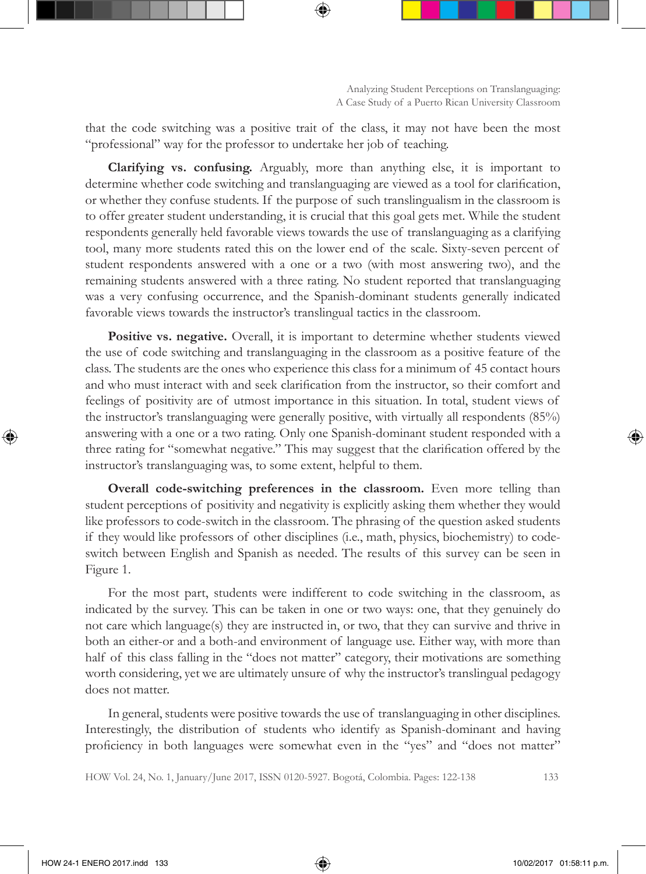that the code switching was a positive trait of the class, it may not have been the most "professional" way for the professor to undertake her job of teaching.

**Clarifying vs. confusing.** Arguably, more than anything else, it is important to determine whether code switching and translanguaging are viewed as a tool for clarification, or whether they confuse students. If the purpose of such translingualism in the classroom is to offer greater student understanding, it is crucial that this goal gets met. While the student respondents generally held favorable views towards the use of translanguaging as a clarifying tool, many more students rated this on the lower end of the scale. Sixty-seven percent of student respondents answered with a one or a two (with most answering two), and the remaining students answered with a three rating. No student reported that translanguaging was a very confusing occurrence, and the Spanish-dominant students generally indicated favorable views towards the instructor's translingual tactics in the classroom.

**Positive vs. negative.** Overall, it is important to determine whether students viewed the use of code switching and translanguaging in the classroom as a positive feature of the class. The students are the ones who experience this class for a minimum of 45 contact hours and who must interact with and seek clarification from the instructor, so their comfort and feelings of positivity are of utmost importance in this situation. In total, student views of the instructor's translanguaging were generally positive, with virtually all respondents (85%) answering with a one or a two rating. Only one Spanish-dominant student responded with a three rating for "somewhat negative." This may suggest that the clarification offered by the instructor's translanguaging was, to some extent, helpful to them.

**Overall code-switching preferences in the classroom.** Even more telling than student perceptions of positivity and negativity is explicitly asking them whether they would like professors to code-switch in the classroom. The phrasing of the question asked students if they would like professors of other disciplines (i.e., math, physics, biochemistry) to codeswitch between English and Spanish as needed. The results of this survey can be seen in Figure 1.

For the most part, students were indifferent to code switching in the classroom, as indicated by the survey. This can be taken in one or two ways: one, that they genuinely do not care which language(s) they are instructed in, or two, that they can survive and thrive in both an either-or and a both-and environment of language use. Either way, with more than half of this class falling in the "does not matter" category, their motivations are something worth considering, yet we are ultimately unsure of why the instructor's translingual pedagogy does not matter.

In general, students were positive towards the use of translanguaging in other disciplines. Interestingly, the distribution of students who identify as Spanish-dominant and having proficiency in both languages were somewhat even in the "yes" and "does not matter"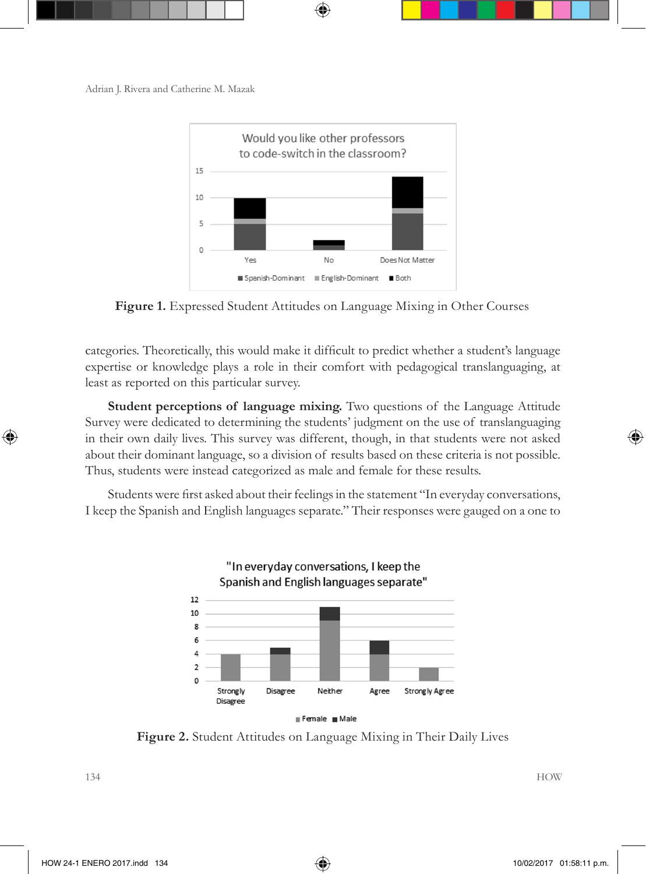

**Figure 1.** Expressed Student Attitudes on Language Mixing in Other Courses

categories. Theoretically, this would make it difficult to predict whether a student's language expertise or knowledge plays a role in their comfort with pedagogical translanguaging, at least as reported on this particular survey.

**Student perceptions of language mixing.** Two questions of the Language Attitude Survey were dedicated to determining the students' judgment on the use of translanguaging in their own daily lives. This survey was different, though, in that students were not asked about their dominant language, so a division of results based on these criteria is not possible. Thus, students were instead categorized as male and female for these results.

Students were first asked about their feelings in the statement "In everyday conversations, I keep the Spanish and English languages separate." Their responses were gauged on a one to



**Figure 2.** Student Attitudes on Language Mixing in Their Daily Lives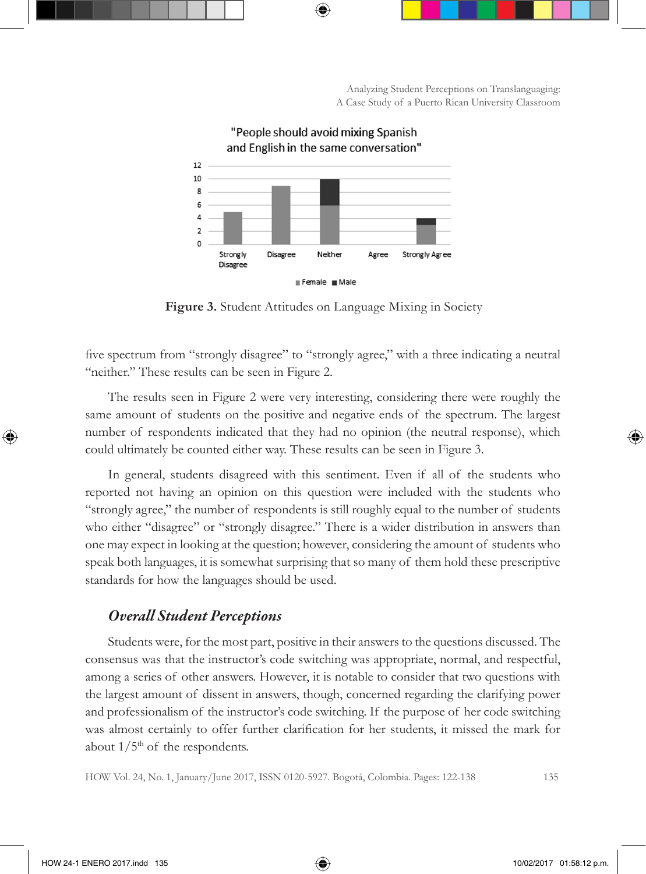

"People should avoid mixing Spanish

**Figure 3.** Student Attitudes on Language Mixing in Society

five spectrum from "strongly disagree" to "strongly agree," with a three indicating a neutral "neither." These results can be seen in Figure 2.

The results seen in Figure 2 were very interesting, considering there were roughly the same amount of students on the positive and negative ends of the spectrum. The largest number of respondents indicated that they had no opinion (the neutral response), which could ultimately be counted either way. These results can be seen in Figure 3.

In general, students disagreed with this sentiment. Even if all of the students who reported not having an opinion on this question were included with the students who "strongly agree," the number of respondents is still roughly equal to the number of students who either "disagree" or "strongly disagree." There is a wider distribution in answers than one may expect in looking at the question; however, considering the amount of students who speak both languages, it is somewhat surprising that so many of them hold these prescriptive standards for how the languages should be used.

#### *Overall Student Perceptions*

Students were, for the most part, positive in their answers to the questions discussed. The consensus was that the instructor's code switching was appropriate, normal, and respectful, among a series of other answers. However, it is notable to consider that two questions with the largest amount of dissent in answers, though, concerned regarding the clarifying power and professionalism of the instructor's code switching. If the purpose of her code switching was almost certainly to offer further clarification for her students, it missed the mark for about  $1/5<sup>th</sup>$  of the respondents.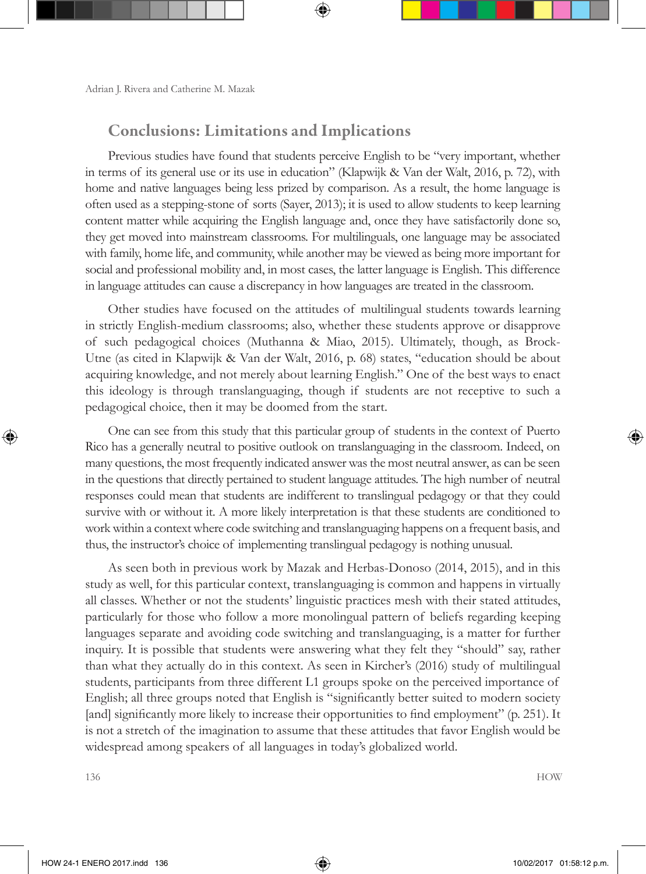## Conclusions: Limitations and Implications

Previous studies have found that students perceive English to be "very important, whether in terms of its general use or its use in education" (Klapwijk & Van der Walt, 2016, p. 72), with home and native languages being less prized by comparison. As a result, the home language is often used as a stepping-stone of sorts (Sayer, 2013); it is used to allow students to keep learning content matter while acquiring the English language and, once they have satisfactorily done so, they get moved into mainstream classrooms. For multilinguals, one language may be associated with family, home life, and community, while another may be viewed as being more important for social and professional mobility and, in most cases, the latter language is English. This difference in language attitudes can cause a discrepancy in how languages are treated in the classroom.

Other studies have focused on the attitudes of multilingual students towards learning in strictly English-medium classrooms; also, whether these students approve or disapprove of such pedagogical choices (Muthanna & Miao, 2015). Ultimately, though, as Brock-Utne (as cited in Klapwijk & Van der Walt, 2016, p. 68) states, "education should be about acquiring knowledge, and not merely about learning English." One of the best ways to enact this ideology is through translanguaging, though if students are not receptive to such a pedagogical choice, then it may be doomed from the start.

One can see from this study that this particular group of students in the context of Puerto Rico has a generally neutral to positive outlook on translanguaging in the classroom. Indeed, on many questions, the most frequently indicated answer was the most neutral answer, as can be seen in the questions that directly pertained to student language attitudes. The high number of neutral responses could mean that students are indifferent to translingual pedagogy or that they could survive with or without it. A more likely interpretation is that these students are conditioned to work within a context where code switching and translanguaging happens on a frequent basis, and thus, the instructor's choice of implementing translingual pedagogy is nothing unusual.

As seen both in previous work by Mazak and Herbas-Donoso (2014, 2015), and in this study as well, for this particular context, translanguaging is common and happens in virtually all classes. Whether or not the students' linguistic practices mesh with their stated attitudes, particularly for those who follow a more monolingual pattern of beliefs regarding keeping languages separate and avoiding code switching and translanguaging, is a matter for further inquiry. It is possible that students were answering what they felt they "should" say, rather than what they actually do in this context. As seen in Kircher's (2016) study of multilingual students, participants from three different L1 groups spoke on the perceived importance of English; all three groups noted that English is "significantly better suited to modern society [and] significantly more likely to increase their opportunities to find employment" (p. 251). It is not a stretch of the imagination to assume that these attitudes that favor English would be widespread among speakers of all languages in today's globalized world.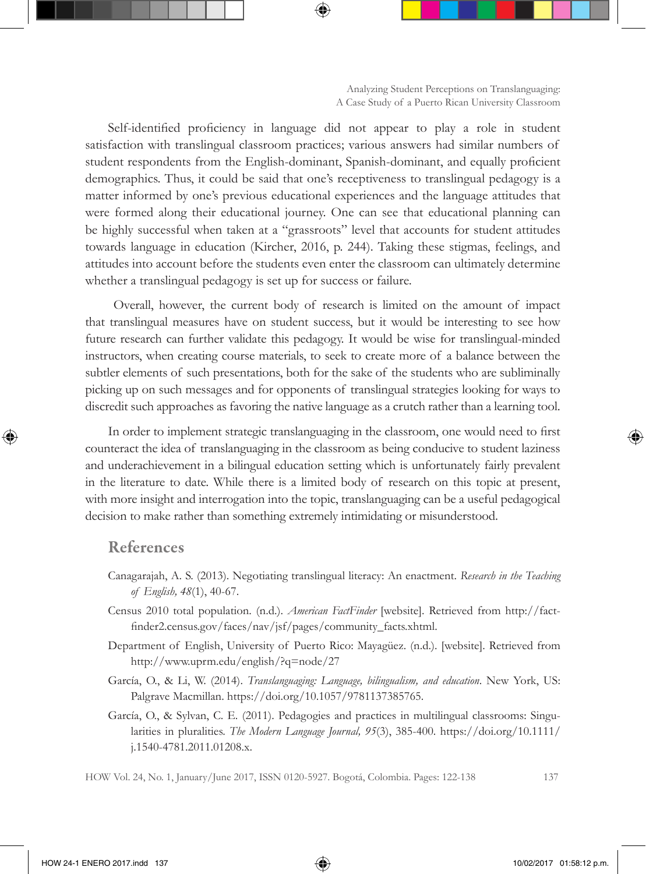Self-identified proficiency in language did not appear to play a role in student satisfaction with translingual classroom practices; various answers had similar numbers of student respondents from the English-dominant, Spanish-dominant, and equally proficient demographics. Thus, it could be said that one's receptiveness to translingual pedagogy is a matter informed by one's previous educational experiences and the language attitudes that were formed along their educational journey. One can see that educational planning can be highly successful when taken at a "grassroots" level that accounts for student attitudes towards language in education (Kircher, 2016, p. 244). Taking these stigmas, feelings, and attitudes into account before the students even enter the classroom can ultimately determine whether a translingual pedagogy is set up for success or failure.

 Overall, however, the current body of research is limited on the amount of impact that translingual measures have on student success, but it would be interesting to see how future research can further validate this pedagogy. It would be wise for translingual-minded instructors, when creating course materials, to seek to create more of a balance between the subtler elements of such presentations, both for the sake of the students who are subliminally picking up on such messages and for opponents of translingual strategies looking for ways to discredit such approaches as favoring the native language as a crutch rather than a learning tool.

In order to implement strategic translanguaging in the classroom, one would need to first counteract the idea of translanguaging in the classroom as being conducive to student laziness and underachievement in a bilingual education setting which is unfortunately fairly prevalent in the literature to date. While there is a limited body of research on this topic at present, with more insight and interrogation into the topic, translanguaging can be a useful pedagogical decision to make rather than something extremely intimidating or misunderstood.

### References

- Canagarajah, A. S. (2013). Negotiating translingual literacy: An enactment. *Research in the Teaching of English, 48*(1), 40-67.
- Census 2010 total population. (n.d.). *American FactFinder* [website]. Retrieved from http://factfinder2.census.gov/faces/nav/jsf/pages/community\_facts.xhtml.
- Department of English, University of Puerto Rico: Mayagüez. (n.d.). [website]. Retrieved from http://www.uprm.edu/english/?q=node/27
- García, O., & Li, W. (2014). *Translanguaging: Language, bilingualism, and education*. New York, US: Palgrave Macmillan. https://doi.org/10.1057/9781137385765.
- García, O., & Sylvan, C. E. (2011). Pedagogies and practices in multilingual classrooms: Singularities in pluralities. *The Modern Language Journal, 95*(3), 385-400. https://doi.org/10.1111/ j.1540-4781.2011.01208.x.

HOW Vol. 24, No. 1, January/June 2017, ISSN 0120-5927. Bogotá, Colombia. Pages: 122-138 137